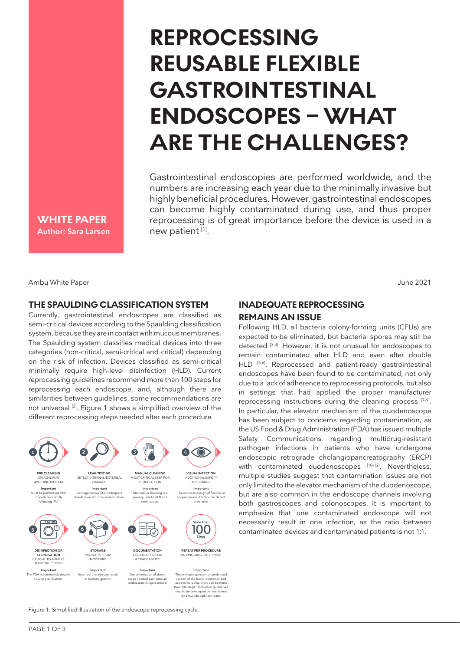# **REPROCESSING REUSABLE FLEXIBLE GASTROINTESTINAL ENDOSCOPES – WHAT ARE THE CHALLENGES?**

Gastrointestinal endoscopies are performed worldwide, and the numbers are increasing each year due to the minimally invasive but highly beneficial procedures. However, gastrointestinal endoscopes can become highly contaminated during use, and thus proper reprocessing is of great importance before the device is used in a new patient [1].

**WHITE PAPER Author: Sara Larsen**

Ambu White Paper June 2021 - Ambu White Paper June 2021

### **THE SPAULDING CLASSIFICATION SYSTEM**

Currently, gastrointestinal endoscopes are classified as semi-critical devices according to the Spaulding classification system, because they are in contact with mucous membranes. The Spaulding system classifies medical devices into three categories (non-critical, semi-critical and critical) depending on the risk of infection. Devices classified as semi-critical minimally require high-level disinfection (HLD). Current reprocessing guidelines recommend more than 100 steps for reprocessing each endoscope, and, although there are similarities between guidelines, some recommendations are not universal [2]. Figure 1 shows a simplified overview of the different reprocessing steps needed after each procedure.



Figure 1: Simplified illustration of the endoscope reprocessing cycle.

# **INADEQUATE REPROCESSING REMAINS AN ISSUE**

Following HLD, all bacteria colony-forming units (CFUs) are expected to be eliminated, but bacterial spores may still be detected [3,4]. However, it is not unusual for endoscopes to remain contaminated after HLD and even after double HLD [5,6]. Reprocessed and patient-ready gastrointestinal endoscopes have been found to be contaminated, not only due to a lack of adherence to reprocessing protocols, but also in settings that had applied the proper manufacturer reprocessing instructions during the cleaning process [7-9]. In particular, the elevator mechanism of the duodenoscope has been subject to concerns regarding contamination, as the US Food & Drug Administration (FDA) has issued multiple Safety Communications regarding multidrug-resistant pathogen infections in patients who have undergone endoscopic retrograde cholangiopancreatography (ERCP) with contaminated duodenoscopes [10-12]. Nevertheless, multiple studies suggest that contamination issues are not only limited to the elevator mechanism of the duodenoscope, but are also common in the endoscope channels involving both gastroscopes and colonoscopes. It is important to emphasize that one contaminated endoscope will not necessarily result in one infection, as the ratio between contaminated devices and contaminated patients is not 1:1.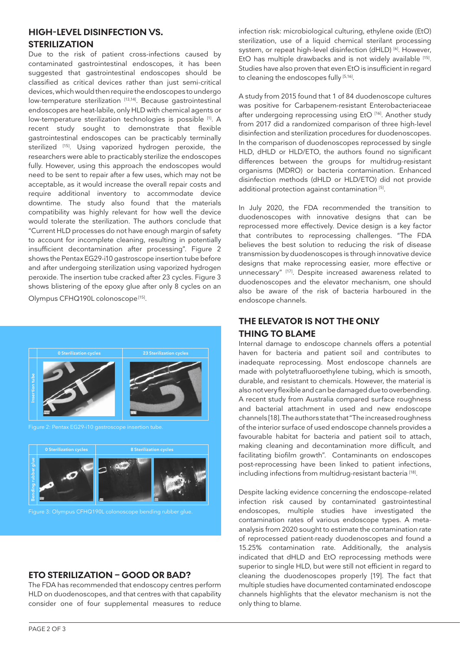#### **HIGH-LEVEL DISINFECTION VS. STERILIZATION**

Due to the risk of patient cross-infections caused by contaminated gastrointestinal endoscopes, it has been suggested that gastrointestinal endoscopes should be classified as critical devices rather than just semi-critical devices, which would then require the endoscopes to undergo low-temperature sterilization [13,14]. Because gastrointestinal endoscopes are heat-labile, only HLD with chemical agents or low-temperature sterilization technologies is possible [1]. A recent study sought to demonstrate that flexible gastrointestinal endoscopes can be practicably terminally sterilized [15]. Using vaporized hydrogen peroxide, the researchers were able to practicably sterilize the endoscopes fully. However, using this approach the endoscopes would need to be sent to repair after a few uses, which may not be acceptable, as it would increase the overall repair costs and require additional inventory to accommodate device downtime. The study also found that the materials compatibility was highly relevant for how well the device would tolerate the sterilization. The authors conclude that "Current HLD processes do not have enough margin of safety to account for incomplete cleaning, resulting in potentially insufficient decontamination after processing". Figure 2 shows the Pentax EG29-i10 gastroscope insertion tube before and after undergoing sterilization using vaporized hydrogen peroxide. The insertion tube cracked after 23 cycles. Figure 3 shows blistering of the epoxy glue after only 8 cycles on an Olympus CFHQ190L colonoscope<sup>[15]</sup>.

**0 Sterilization cycles 0 Sterilization cycles 8 Sterilization cycles Insertion tube Bending rubber glue 23 Sterilization cycles**

**ETO STERILIZATION – GOOD OR BAD?**

The FDA has recommended that endoscopy centres perform HLD on duodenoscopes, and that centres with that capability consider one of four supplemental measures to reduce

infection risk: microbiological culturing, ethylene oxide (EtO) sterilization, use of a liquid chemical sterilant processing system, or repeat high-level disinfection (dHLD)<sup>[6]</sup>. However, EtO has multiple drawbacks and is not widely available [15]. Studies have also proven that even EtO is insufficient in regard to cleaning the endoscopes fully [5,16].

A study from 2015 found that 1 of 84 duodenoscope cultures was positive for Carbapenem-resistant Enterobacteriaceae after undergoing reprocessing using EtO [16]. Another study from 2017 did a randomized comparison of three high-level disinfection and sterilization procedures for duodenoscopes. In the comparison of duodenoscopes reprocessed by single HLD, dHLD or HLD/ETO, the authors found no significant differences between the groups for multidrug-resistant organisms (MDRO) or bacteria contamination. Enhanced disinfection methods (dHLD or HLD/ETO) did not provide additional protection against contamination [5].

In July 2020, the FDA recommended the transition to duodenoscopes with innovative designs that can be reprocessed more effectively. Device design is a key factor that contributes to reprocessing challenges. "The FDA believes the best solution to reducing the risk of disease transmission by duodenoscopes is through innovative device designs that make reprocessing easier, more effective or unnecessary" [17]. Despite increased awareness related to duodenoscopes and the elevator mechanism, one should also be aware of the risk of bacteria harboured in the endoscope channels.

## **THE ELEVATOR IS NOT THE ONLY THING TO BLAME**

Internal damage to endoscope channels offers a potential haven for bacteria and patient soil and contributes to inadequate reprocessing. Most endoscope channels are made with polytetrafluoroethylene tubing, which is smooth, durable, and resistant to chemicals. However, the material is also not very flexible and can be damaged due to overbending. A recent study from Australia compared surface roughness and bacterial attachment in used and new endoscope channels [18]. The authors state that "The increased roughness of the interior surface of used endoscope channels provides a favourable habitat for bacteria and patient soil to attach, making cleaning and decontamination more difficult, and facilitating biofilm growth". Contaminants on endoscopes post-reprocessing have been linked to patient infections, including infections from multidrug-resistant bacteria<sup>[18]</sup>.

Despite lacking evidence concerning the endoscope-related infection risk caused by contaminated gastrointestinal endoscopes, multiple studies have investigated the contamination rates of various endoscope types. A metaanalysis from 2020 sought to estimate the contamination rate of reprocessed patient-ready duodenoscopes and found a 15.25% contamination rate. Additionally, the analysis indicated that dHLD and EtO reprocessing methods were superior to single HLD, but were still not efficient in regard to cleaning the duodenoscopes properly [19]. The fact that multiple studies have documented contaminated endoscope channels highlights that the elevator mechanism is not the only thing to blame.